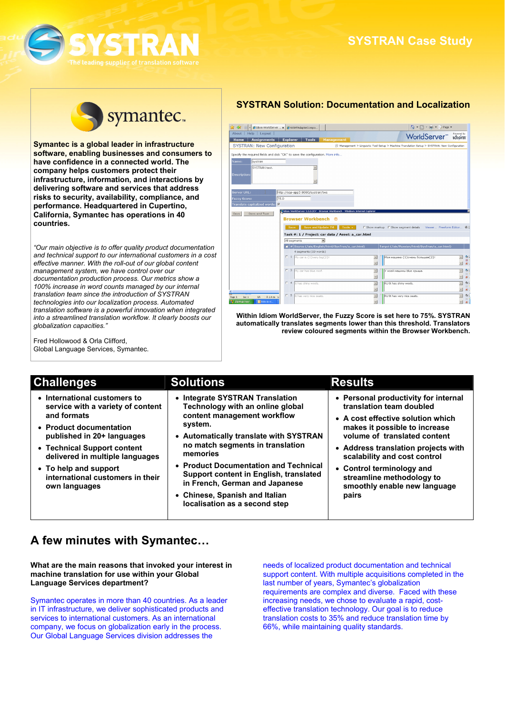



**Symantec is a global leader in infrastructure software, enabling businesses and consumers to have confidence in a connected world. The company helps customers protect their infrastructure, information, and interactions by delivering software and services that address risks to security, availability, compliance, and performance. Headquartered in Cupertino, California, Symantec has operations in 40 countries.** 

*"Our main objective is to offer quality product documentation and technical support to our international customers in a cost effective manner. With the roll-out of our global content management system, we have control over our documentation production process. Our metrics show a 100% increase in word counts managed by our internal translation team since the introduction of SYSTRAN technologies into our localization process. Automated translation software is a powerful innovation when integrated into a streamlined translation workflow. It clearly boosts our globalization capacities."* 

Fred Hollowood & Orla Clifford, Global Language Services, Symantec.

# **SYSTRAN Solution: Documentation and Localization**

| 45                                                                              | ED - Cidom WorldServer  x   C WSMTAdapterCompo                                                                            |                               |                          |                                                                                             |                                                                                                                                               |
|---------------------------------------------------------------------------------|---------------------------------------------------------------------------------------------------------------------------|-------------------------------|--------------------------|---------------------------------------------------------------------------------------------|-----------------------------------------------------------------------------------------------------------------------------------------------|
| About   Help   Logout                                                           |                                                                                                                           |                               |                          | <b>Moral Server</b> Manager<br><b>WorldServer</b> Manager                                   |                                                                                                                                               |
| <b>Assignments</b><br>Home                                                      | <b>Explorer</b><br><b>Tools</b>                                                                                           | Management                    |                          |                                                                                             |                                                                                                                                               |
| SYSTRAN: New Configuration                                                      |                                                                                                                           |                               |                          | Management > Linguistic Tool Setup > Machine Translation Setup > SYSTRAN: New Configuration |                                                                                                                                               |
| Specify the required fields and click "OK" to save the configuration. More info |                                                                                                                           |                               |                          |                                                                                             |                                                                                                                                               |
| systran<br>Name:                                                                |                                                                                                                           |                               |                          |                                                                                             |                                                                                                                                               |
| SYSTRAN test.                                                                   | $\sim$                                                                                                                    |                               |                          |                                                                                             |                                                                                                                                               |
| <b>Description:</b>                                                             |                                                                                                                           |                               |                          |                                                                                             |                                                                                                                                               |
|                                                                                 |                                                                                                                           |                               |                          |                                                                                             |                                                                                                                                               |
|                                                                                 |                                                                                                                           |                               |                          |                                                                                             |                                                                                                                                               |
| Server URL:                                                                     | http://sqa-app3:8080/systran/tws                                                                                          |                               |                          |                                                                                             |                                                                                                                                               |
| <b>Fuzzy Score:</b>                                                             | 75.0                                                                                                                      |                               |                          |                                                                                             |                                                                                                                                               |
|                                                                                 |                                                                                                                           |                               |                          |                                                                                             |                                                                                                                                               |
| Save and Test                                                                   | C Idiom WorldServer 9.0.0 DEV - Browser Workbench - Windows Internet Explorer<br><b>Browser Workbench</b>                 | ൚                             |                          |                                                                                             |                                                                                                                                               |
|                                                                                 | Save<br>Task #: 1 / Project: car data / Asset: a_car.html                                                                 | Save and Update TM<br>Tools + |                          | 「 Show markup F Show segment details Viewer Freeform Editor 張山                              |                                                                                                                                               |
|                                                                                 | All segments                                                                                                              | $\overline{ }$                |                          |                                                                                             |                                                                                                                                               |
|                                                                                 | $  $ $  $ # Source (/ais/English/html/SysTran/a_car.html)                                                                 |                               |                          | Target (/ais/Russian/html/SysTran/a_car.html)                                               |                                                                                                                                               |
|                                                                                 | 4 segments (19 words)<br>$\begin{array}{ c c c c c }\n\hline\n\text{My car is } \{1\} \text{very big} \{2\}! \end{array}$ |                               |                          | Моя машина {1}очень большая{2}!                                                             |                                                                                                                                               |
|                                                                                 |                                                                                                                           |                               |                          |                                                                                             |                                                                                                                                               |
|                                                                                 | $\Gamma$ 3                                                                                                                |                               |                          |                                                                                             |                                                                                                                                               |
|                                                                                 | My car has blue roof.                                                                                                     |                               | $\overline{\phantom{a}}$ | У моей машины blue крыша.                                                                   |                                                                                                                                               |
|                                                                                 | $\Gamma$ 4                                                                                                                |                               |                          |                                                                                             |                                                                                                                                               |
|                                                                                 | It has shiny weels.                                                                                                       |                               | $\overline{a}$           | RU It has shiny weels.                                                                      |                                                                                                                                               |
| Translate capitalized words: F<br>Save<br>À 2.4 cm Li<br>Sec 1<br>5/5<br>Page 5 | F <sub>5</sub><br>It has very nice seats.                                                                                 |                               | $\overline{\phantom{a}}$ | RU It has very nice seats.                                                                  | $\overline{a}$<br>$\star$<br>$\overline{a}$<br>$\mathbf v$<br>$\overline{\phantom{a}}$<br>$\overline{\mathbf{v}}$<br>$\overline{\phantom{a}}$ |

**Within Idiom WorldServer, the Fuzzy Score is set here to 75%. SYSTRAN automatically translates segments lower than this threshold. Translators review coloured segments within the Browser Workbench.**

| <b>Challenges</b>                                                                                                                                                                                                                                                                         | <b>Solutions</b>                                                                                                                                                                                                                                                                                                                                                                                | <b>Results</b>                                                                                                                                                                                                                                                                                                                                   |
|-------------------------------------------------------------------------------------------------------------------------------------------------------------------------------------------------------------------------------------------------------------------------------------------|-------------------------------------------------------------------------------------------------------------------------------------------------------------------------------------------------------------------------------------------------------------------------------------------------------------------------------------------------------------------------------------------------|--------------------------------------------------------------------------------------------------------------------------------------------------------------------------------------------------------------------------------------------------------------------------------------------------------------------------------------------------|
| • International customers to<br>service with a variety of content<br>and formats<br>• Product documentation<br>published in 20+ languages<br>• Technical Support content<br>delivered in multiple languages<br>• To help and support<br>international customers in their<br>own languages | • Integrate SYSTRAN Translation<br>Technology with an online global<br>content management workflow<br>system.<br>• Automatically translate with SYSTRAN<br>no match segments in translation<br>memories<br>• Product Documentation and Technical<br>Support content in English, translated<br>in French, German and Japanese<br>• Chinese, Spanish and Italian<br>localisation as a second step | • Personal productivity for internal<br>translation team doubled<br>• A cost effective solution which<br>makes it possible to increase<br>volume of translated content<br>• Address translation projects with<br>scalability and cost control<br>• Control terminology and<br>streamline methodology to<br>smoothly enable new language<br>pairs |

# **A few minutes with Symantec…**

**What are the main reasons that invoked your interest in machine translation for use within your Global Language Services department?** 

Symantec operates in more than 40 countries. As a leader in IT infrastructure, we deliver sophisticated products and services to international customers. As an international company, we focus on globalization early in the process. Our Global Language Services division addresses the

needs of localized product documentation and technical support content. With multiple acquisitions completed in the last number of years, Symantec's globalization requirements are complex and diverse. Faced with these increasing needs, we chose to evaluate a rapid, costeffective translation technology. Our goal is to reduce translation costs to 35% and reduce translation time by 66%, while maintaining quality standards.